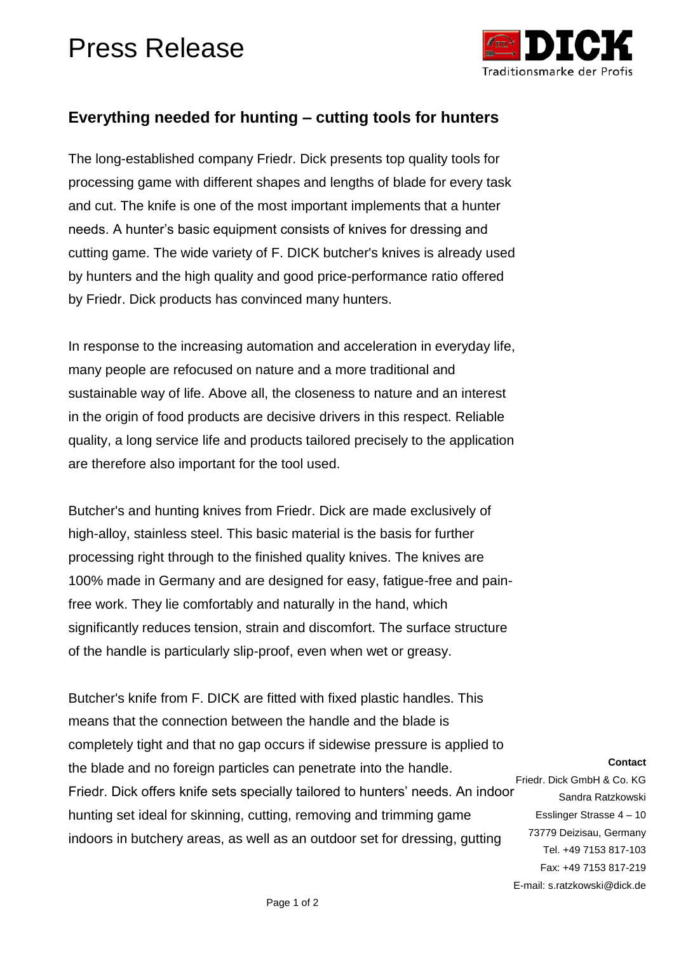## Press Release



Fax: +49 7153 817-219

E-mail: s.ratzkowski@dick.de

## **Everything needed for hunting – cutting tools for hunters**

The long-established company Friedr. Dick presents top quality tools for processing game with different shapes and lengths of blade for every task and cut. The knife is one of the most important implements that a hunter needs. A hunter's basic equipment consists of knives for dressing and cutting game. The wide variety of F. DICK butcher's knives is already used by hunters and the high quality and good price-performance ratio offered by Friedr. Dick products has convinced many hunters.

In response to the increasing automation and acceleration in everyday life, many people are refocused on nature and a more traditional and sustainable way of life. Above all, the closeness to nature and an interest in the origin of food products are decisive drivers in this respect. Reliable quality, a long service life and products tailored precisely to the application are therefore also important for the tool used.

Butcher's and hunting knives from Friedr. Dick are made exclusively of high-alloy, stainless steel. This basic material is the basis for further processing right through to the finished quality knives. The knives are 100% made in Germany and are designed for easy, fatigue-free and painfree work. They lie comfortably and naturally in the hand, which significantly reduces tension, strain and discomfort. The surface structure of the handle is particularly slip-proof, even when wet or greasy.

**Contact** Friedr. Dick GmbH & Co. KG Sandra Ratzkowski Esslinger Strasse 4 – 10 73779 Deizisau, Germany Tel. +49 7153 817-103 Butcher's knife from F. DICK are fitted with fixed plastic handles. This means that the connection between the handle and the blade is completely tight and that no gap occurs if sidewise pressure is applied to the blade and no foreign particles can penetrate into the handle. Friedr. Dick offers knife sets specially tailored to hunters' needs. An indoor hunting set ideal for skinning, cutting, removing and trimming game indoors in butchery areas, as well as an outdoor set for dressing, gutting